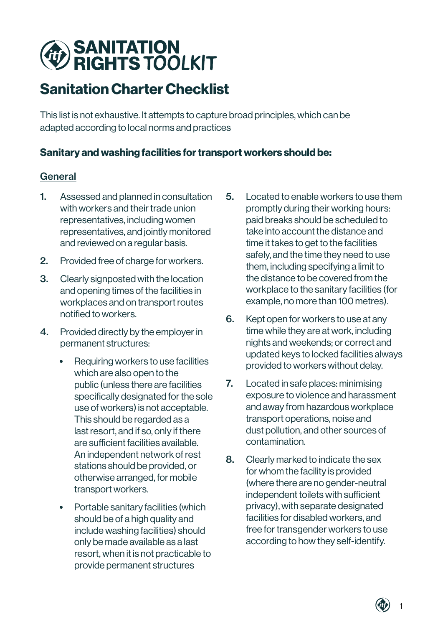# **SANITATION<br>RIGHTS TOOLKIT**

# Sanitation Charter Checklist

This list is not exhaustive. It attempts to capture broad principles, which can be adapted according to local norms and practices

## Sanitary and washing facilities for transport workers should be:

### **General**

- 1. Assessed and planned in consultation with workers and their trade union representatives, including women representatives, and jointly monitored and reviewed on a regular basis.
- 2. Provided free of charge for workers.
- 3. Clearly signposted with the location and opening times of the facilities in workplaces and on transport routes notified to workers.
- 4. Provided directly by the employer in permanent structures:
	- Requiring workers to use facilities which are also open to the public (unless there are facilities specifically designated for the sole use of workers) is not acceptable. This should be regarded as a last resort, and if so, only if there are sufficient facilities available. An independent network of rest stations should be provided, or otherwise arranged, for mobile transport workers.
	- Portable sanitary facilities (which should be of a high quality and include washing facilities) should only be made available as a last resort, when it is not practicable to provide permanent structures
- 5. Located to enable workers to use them promptly during their working hours: paid breaks should be scheduled to take into account the distance and time it takes to get to the facilities safely, and the time they need to use them, including specifying a limit to the distance to be covered from the workplace to the sanitary facilities (for example, no more than 100 metres).
- 6. Kept open for workers to use at any time while they are at work, including nights and weekends; or correct and updated keys to locked facilities always provided to workers without delay.
- 7. Located in safe places: minimising exposure to violence and harassment and away from hazardous workplace transport operations, noise and dust pollution, and other sources of contamination.
- 8. Clearly marked to indicate the sex for whom the facility is provided (where there are no gender-neutral independent toilets with sufficient privacy), with separate designated facilities for disabled workers, and free for transgender workers to use according to how they self-identify.

1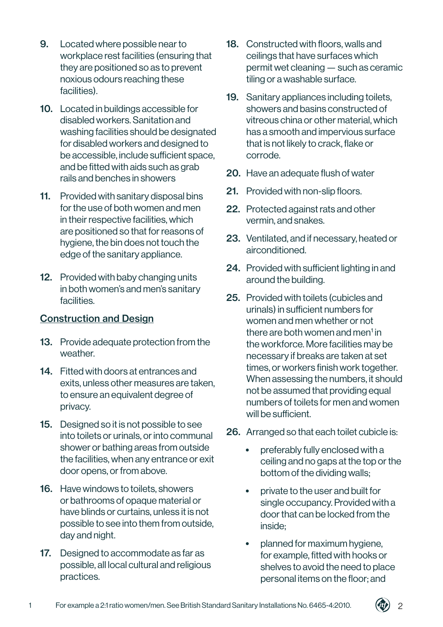- 9. Located where possible near to workplace rest facilities (ensuring that they are positioned so as to prevent noxious odours reaching these facilities).
- 10. Located in buildings accessible for disabled workers. Sanitation and washing facilities should be designated for disabled workers and designed to be accessible, include sufficient space, and be fitted with aids such as grab rails and benches in showers
- 11. Provided with sanitary disposal bins for the use of both women and men in their respective facilities, which are positioned so that for reasons of hygiene, the bin does not touch the edge of the sanitary appliance.
- 12. Provided with baby changing units in both women's and men's sanitary facilities.

#### Construction and Design

- 13. Provide adequate protection from the weather.
- 14. Fitted with doors at entrances and exits, unless other measures are taken, to ensure an equivalent degree of privacy.
- 15. Designed so it is not possible to see into toilets or urinals, or into communal shower or bathing areas from outside the facilities, when any entrance or exit door opens, or from above.
- 16. Have windows to toilets, showers or bathrooms of opaque material or have blinds or curtains, unless it is not possible to see into them from outside, day and night.
- 17. Designed to accommodate as far as possible, all local cultural and religious practices.
- 18. Constructed with floors, walls and ceilings that have surfaces which permit wet cleaning — such as ceramic tiling or a washable surface.
- 19. Sanitary appliances including toilets, showers and basins constructed of vitreous china or other material, which has a smooth and impervious surface that is not likely to crack, flake or corrode.
- 20. Have an adequate flush of water
- 21. Provided with non-slip floors.
- 22. Protected against rats and other vermin, and snakes.
- 23. Ventilated, and if necessary, heated or airconditioned.
- 24. Provided with sufficient lighting in and around the building.
- 25. Provided with toilets (cubicles and urinals) in sufficient numbers for women and men whether or not there are both women and men<sup>1</sup> in the workforce. More facilities may be necessary if breaks are taken at set times, or workers finish work together. When assessing the numbers, it should not be assumed that providing equal numbers of toilets for men and women will be sufficient.
- 26. Arranged so that each toilet cubicle is:
	- preferably fully enclosed with a ceiling and no gaps at the top or the bottom of the dividing walls;
	- private to the user and built for single occupancy. Provided with a door that can be locked from the inside;
	- planned for maximum hygiene, for example, fitted with hooks or shelves to avoid the need to place personal items on the floor; and

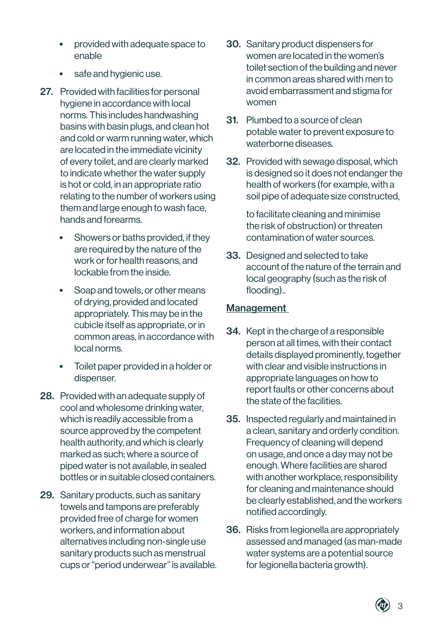- provided with adequate space to enable
- safe and hygienic use.
- 27. Provided with facilities for personal hygiene in accordance with local norms. This includes handwashing basins with basin plugs, and clean hot and cold or warm running water, which are located in the immediate vicinity of every toilet, and are clearly marked to indicate whether the water supply is hot or cold, in an appropriate ratio relating to the number of workers using them and large enough to wash face, hands and forearms.
	- Showers or baths provided, if they are required by the nature of the work or for health reasons, and lockable from the inside.
	- Soap and towels, or other means of drying, provided and located appropriately. This may be in the cubicle itself as appropriate, or in common areas, in accordance with local norms.
	- Toilet paper provided in a holder or dispenser.
- 28. Provided with an adequate supply of cool and wholesome drinking water, which is readily accessible from a source approved by the competent health authority, and which is clearly marked as such; where a source of piped water is not available, in sealed bottles or in suitable closed containers.
- 29. Sanitary products, such as sanitary towels and tampons are preferably provided free of charge for women workers, and information about alternatives including non-single use sanitary products such as menstrual cups or "period underwear" is available.
- 30. Sanitary product dispensers for women are located in the women's toilet section of the building and never in common areas shared with men to avoid embarrassment and stigma for women
- 31. Plumbed to a source of clean potable water to prevent exposure to waterborne diseases.
- 32. Provided with sewage disposal, which is designed so it does not endanger the health of workers (for example, with a soil pipe of adequate size constructed,

to facilitate cleaning and minimise the risk of obstruction) or threaten contamination of water sources.

33. Designed and selected to take account of the nature of the terrain and local geography (such as the risk of flooding)..

#### **Management**

- 34. Kept in the charge of a responsible person at all times, with their contact details displayed prominently, together with clear and visible instructions in appropriate languages on how to report faults or other concerns about the state of the facilities.
- 35. Inspected regularly and maintained in a clean, sanitary and orderly condition. Frequency of cleaning will depend on usage, and once a day may not be enough. Where facilities are shared with another workplace, responsibility for cleaning and maintenance should be clearly established, and the workers notified accordingly.
- 36. Risks from legionella are appropriately assessed and managed (as man-made water systems are a potential source for legionella bacteria growth).